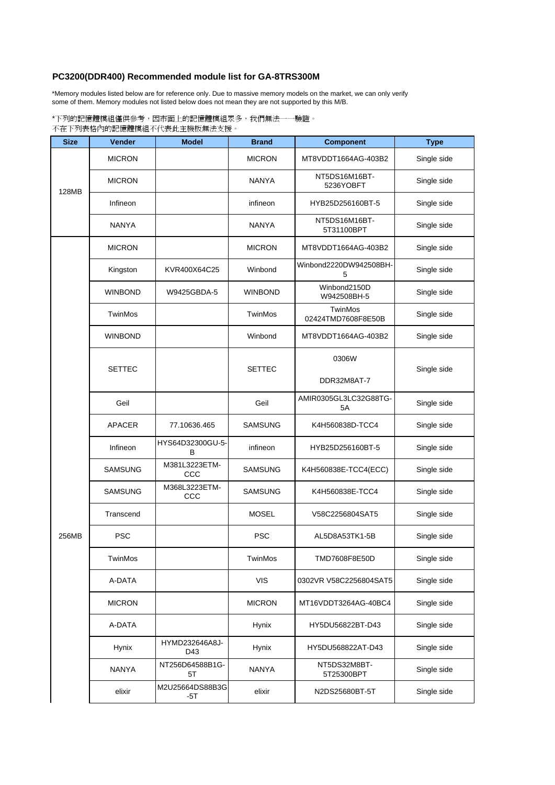## **PC3200(DDR400) Recommended module list for GA-8TRS300M**

\*Memory modules listed below are for reference only. Due to massive memory models on the market, we can only verify some of them. Memory modules not listed below does not mean they are not supported by this M/B.

\*下列的記憶體模組僅供參考,因市面上的記憶體模組眾多,我們無法一一驗證。 不在下列表格內的記憶體模組不代表此主機板無法支援。

| <b>Size</b> | <b>Vender</b>  | <b>Model</b>           | <b>Brand</b>   | <b>Component</b>              | <b>Type</b> |
|-------------|----------------|------------------------|----------------|-------------------------------|-------------|
| 128MB       | <b>MICRON</b>  |                        | <b>MICRON</b>  | MT8VDDT1664AG-403B2           | Single side |
|             | <b>MICRON</b>  |                        | <b>NANYA</b>   | NT5DS16M16BT-<br>5236YOBFT    | Single side |
|             | Infineon       |                        | infineon       | HYB25D256160BT-5              | Single side |
|             | <b>NANYA</b>   |                        | <b>NANYA</b>   | NT5DS16M16BT-<br>5T31100BPT   | Single side |
|             | <b>MICRON</b>  |                        | <b>MICRON</b>  | MT8VDDT1664AG-403B2           | Single side |
|             | Kingston       | KVR400X64C25           | Winbond        | Winbond2220DW942508BH-<br>5   | Single side |
|             | <b>WINBOND</b> | W9425GBDA-5            | <b>WINBOND</b> | Winbond2150D<br>W942508BH-5   | Single side |
|             | TwinMos        |                        | TwinMos        | TwinMos<br>02424TMD7608F8E50B | Single side |
|             | <b>WINBOND</b> |                        | Winbond        | MT8VDDT1664AG-403B2           | Single side |
| 256MB       | <b>SETTEC</b>  |                        | <b>SETTEC</b>  | 0306W                         | Single side |
|             |                |                        |                | DDR32M8AT-7                   |             |
|             | Geil           |                        | Geil           | AMIR0305GL3LC32G88TG-<br>5A   | Single side |
|             | <b>APACER</b>  | 77.10636.465           | <b>SAMSUNG</b> | K4H560838D-TCC4               | Single side |
|             | Infineon       | HYS64D32300GU-5-<br>B  | infineon       | HYB25D256160BT-5              | Single side |
|             | <b>SAMSUNG</b> | M381L3223ETM-<br>CCC   | SAMSUNG        | K4H560838E-TCC4(ECC)          | Single side |
|             | <b>SAMSUNG</b> | M368L3223ETM-<br>CCC   | <b>SAMSUNG</b> | K4H560838E-TCC4               | Single side |
|             | Transcend      |                        | <b>MOSEL</b>   | V58C2256804SAT5               | Single side |
|             | <b>PSC</b>     |                        | <b>PSC</b>     | AL5D8A53TK1-5B                | Single side |
|             | TwinMos        |                        | TwinMos        | TMD7608F8E50D                 | Single side |
|             | A-DATA         |                        | <b>VIS</b>     | 0302VR V58C2256804SAT5        | Single side |
|             | <b>MICRON</b>  |                        | <b>MICRON</b>  | MT16VDDT3264AG-40BC4          | Single side |
|             | A-DATA         |                        | Hynix          | HY5DU56822BT-D43              | Single side |
|             | Hynix          | HYMD232646A8J-<br>D43  | Hynix          | HY5DU568822AT-D43             | Single side |
|             | <b>NANYA</b>   | NT256D64588B1G-<br>5T  | <b>NANYA</b>   | NT5DS32M8BT-<br>5T25300BPT    | Single side |
|             | elixir         | M2U25664DS88B3G<br>-5T | elixir         | N2DS25680BT-5T                | Single side |